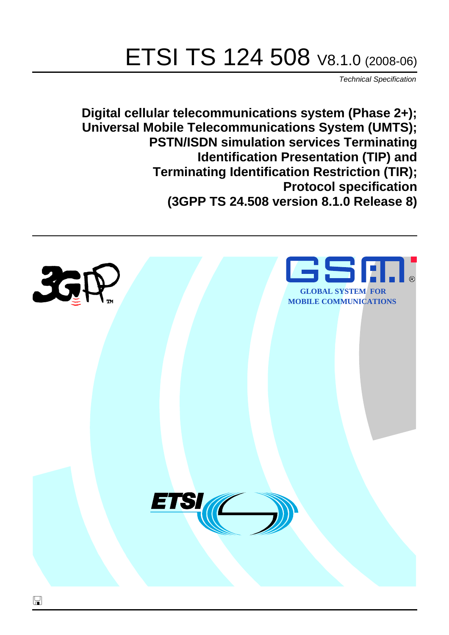# ETSI TS 124 508 V8.1.0 (2008-06)

*Technical Specification*

**Digital cellular telecommunications system (Phase 2+); Universal Mobile Telecommunications System (UMTS); PSTN/ISDN simulation services Terminating Identification Presentation (TIP) and Terminating Identification Restriction (TIR); Protocol specification (3GPP TS 24.508 version 8.1.0 Release 8)**

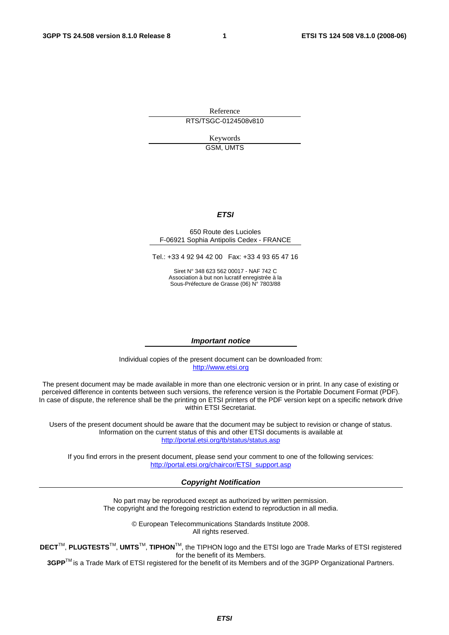Reference RTS/TSGC-0124508v810

> Keywords GSM, UMTS

#### *ETSI*

#### 650 Route des Lucioles F-06921 Sophia Antipolis Cedex - FRANCE

Tel.: +33 4 92 94 42 00 Fax: +33 4 93 65 47 16

Siret N° 348 623 562 00017 - NAF 742 C Association à but non lucratif enregistrée à la Sous-Préfecture de Grasse (06) N° 7803/88

#### *Important notice*

Individual copies of the present document can be downloaded from: [http://www.etsi.org](http://www.etsi.org/)

The present document may be made available in more than one electronic version or in print. In any case of existing or perceived difference in contents between such versions, the reference version is the Portable Document Format (PDF). In case of dispute, the reference shall be the printing on ETSI printers of the PDF version kept on a specific network drive within ETSI Secretariat.

Users of the present document should be aware that the document may be subject to revision or change of status. Information on the current status of this and other ETSI documents is available at <http://portal.etsi.org/tb/status/status.asp>

If you find errors in the present document, please send your comment to one of the following services: [http://portal.etsi.org/chaircor/ETSI\\_support.asp](http://portal.etsi.org/chaircor/ETSI_support.asp)

#### *Copyright Notification*

No part may be reproduced except as authorized by written permission. The copyright and the foregoing restriction extend to reproduction in all media.

> © European Telecommunications Standards Institute 2008. All rights reserved.

**DECT**TM, **PLUGTESTS**TM, **UMTS**TM, **TIPHON**TM, the TIPHON logo and the ETSI logo are Trade Marks of ETSI registered for the benefit of its Members.

**3GPP**TM is a Trade Mark of ETSI registered for the benefit of its Members and of the 3GPP Organizational Partners.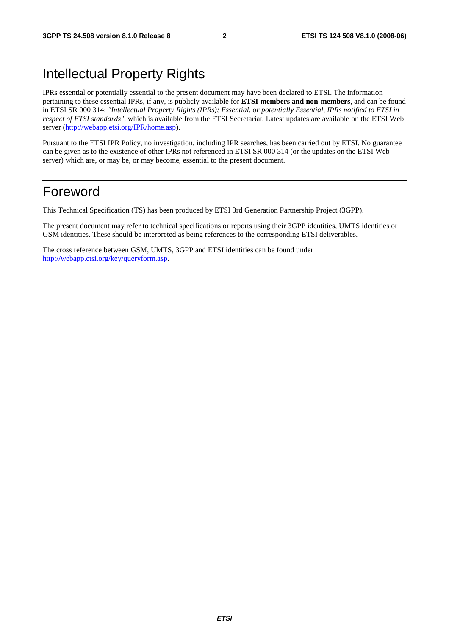## Intellectual Property Rights

IPRs essential or potentially essential to the present document may have been declared to ETSI. The information pertaining to these essential IPRs, if any, is publicly available for **ETSI members and non-members**, and can be found in ETSI SR 000 314: *"Intellectual Property Rights (IPRs); Essential, or potentially Essential, IPRs notified to ETSI in respect of ETSI standards"*, which is available from the ETSI Secretariat. Latest updates are available on the ETSI Web server ([http://webapp.etsi.org/IPR/home.asp\)](http://webapp.etsi.org/IPR/home.asp).

Pursuant to the ETSI IPR Policy, no investigation, including IPR searches, has been carried out by ETSI. No guarantee can be given as to the existence of other IPRs not referenced in ETSI SR 000 314 (or the updates on the ETSI Web server) which are, or may be, or may become, essential to the present document.

### Foreword

This Technical Specification (TS) has been produced by ETSI 3rd Generation Partnership Project (3GPP).

The present document may refer to technical specifications or reports using their 3GPP identities, UMTS identities or GSM identities. These should be interpreted as being references to the corresponding ETSI deliverables.

The cross reference between GSM, UMTS, 3GPP and ETSI identities can be found under [http://webapp.etsi.org/key/queryform.asp.](http://webapp.etsi.org/key/queryform.asp)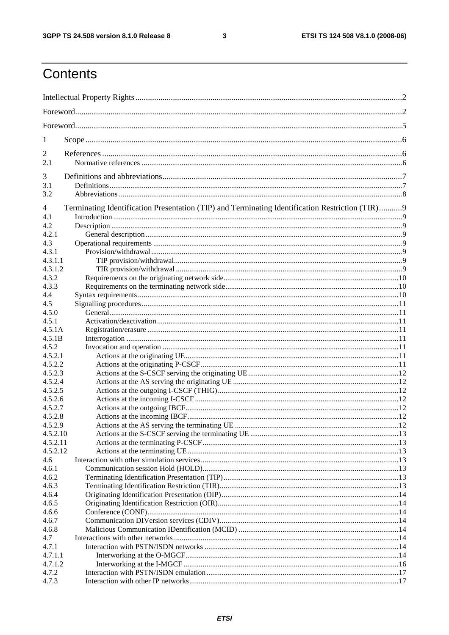$\mathbf{3}$ 

## Contents

| 1                |                                                                                                 |  |
|------------------|-------------------------------------------------------------------------------------------------|--|
| $\overline{2}$   |                                                                                                 |  |
| 2.1              |                                                                                                 |  |
| 3                |                                                                                                 |  |
| 3.1              |                                                                                                 |  |
| 3.2              |                                                                                                 |  |
| 4                | Terminating Identification Presentation (TIP) and Terminating Identification Restriction (TIR)9 |  |
| 4.1              |                                                                                                 |  |
| 4.2              |                                                                                                 |  |
| 4.2.1            |                                                                                                 |  |
| 4.3              |                                                                                                 |  |
| 4.3.1            |                                                                                                 |  |
| 4.3.1.1          |                                                                                                 |  |
| 4.3.1.2          |                                                                                                 |  |
| 4.3.2            |                                                                                                 |  |
| 4.3.3            |                                                                                                 |  |
| 4.4              |                                                                                                 |  |
| 4.5              |                                                                                                 |  |
| 4.5.0            |                                                                                                 |  |
| 4.5.1<br>4.5.1A  |                                                                                                 |  |
| 4.5.1B           |                                                                                                 |  |
| 4.5.2            |                                                                                                 |  |
| 4.5.2.1          |                                                                                                 |  |
| 4.5.2.2          |                                                                                                 |  |
| 4.5.2.3          |                                                                                                 |  |
| 4.5.2.4          |                                                                                                 |  |
| 4.5.2.5          |                                                                                                 |  |
| 4.5.2.6          |                                                                                                 |  |
| 4.5.2.7          |                                                                                                 |  |
| 4.5.2.8          |                                                                                                 |  |
| 4.5.2.9          |                                                                                                 |  |
| 4.5.2.10         |                                                                                                 |  |
| 4.5.2.11         |                                                                                                 |  |
| 4.5.2.12         |                                                                                                 |  |
| 4.6              |                                                                                                 |  |
| 4.6.1            |                                                                                                 |  |
| 4.6.2            |                                                                                                 |  |
| 4.6.3            |                                                                                                 |  |
| 4.6.4            |                                                                                                 |  |
| 4.6.5            |                                                                                                 |  |
| 4.6.6            |                                                                                                 |  |
| 4.6.7            |                                                                                                 |  |
| 4.6.8            |                                                                                                 |  |
| 4.7              |                                                                                                 |  |
| 4.7.1<br>4.7.1.1 |                                                                                                 |  |
| 4.7.1.2          |                                                                                                 |  |
| 4.7.2            |                                                                                                 |  |
| 4.7.3            |                                                                                                 |  |
|                  |                                                                                                 |  |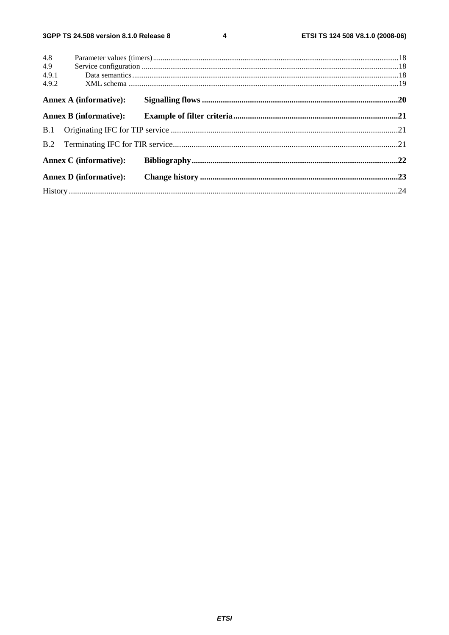$\overline{\mathbf{4}}$ 

| 4.8   |                               |  |
|-------|-------------------------------|--|
| 4.9   |                               |  |
| 4.9.1 |                               |  |
| 4.9.2 |                               |  |
|       | <b>Annex A (informative):</b> |  |
|       | <b>Annex B</b> (informative): |  |
|       |                               |  |
|       |                               |  |
|       | <b>Annex C</b> (informative): |  |
|       | <b>Annex D</b> (informative): |  |
|       |                               |  |
|       |                               |  |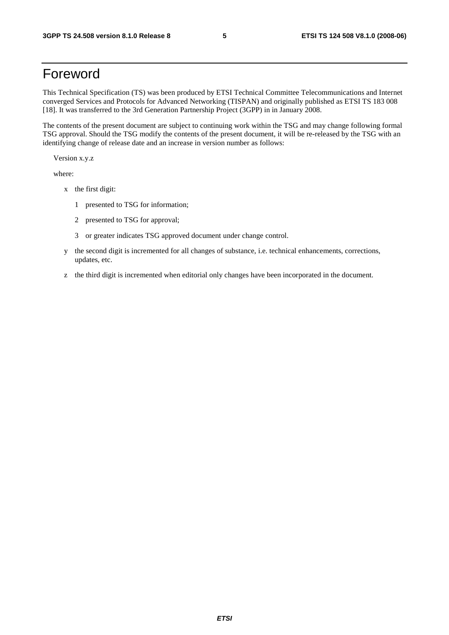### Foreword

This Technical Specification (TS) was been produced by ETSI Technical Committee Telecommunications and Internet converged Services and Protocols for Advanced Networking (TISPAN) and originally published as ETSI TS 183 008 [18]. It was transferred to the 3rd Generation Partnership Project (3GPP) in in January 2008.

The contents of the present document are subject to continuing work within the TSG and may change following formal TSG approval. Should the TSG modify the contents of the present document, it will be re-released by the TSG with an identifying change of release date and an increase in version number as follows:

Version x.y.z

where:

- x the first digit:
	- 1 presented to TSG for information;
	- 2 presented to TSG for approval;
	- 3 or greater indicates TSG approved document under change control.
- y the second digit is incremented for all changes of substance, i.e. technical enhancements, corrections, updates, etc.
- z the third digit is incremented when editorial only changes have been incorporated in the document.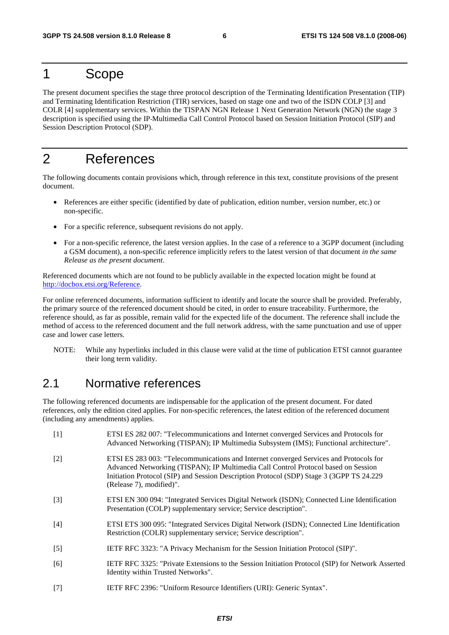### 1 Scope

The present document specifies the stage three protocol description of the Terminating Identification Presentation (TIP) and Terminating Identification Restriction (TIR) services, based on stage one and two of the ISDN COLP [3] and COLR [4] supplementary services. Within the TISPAN NGN Release 1 Next Generation Network (NGN) the stage 3 description is specified using the IP Multimedia Call Control Protocol based on Session Initiation Protocol (SIP) and Session Description Protocol (SDP).

## 2 References

The following documents contain provisions which, through reference in this text, constitute provisions of the present document.

- References are either specific (identified by date of publication, edition number, version number, etc.) or non-specific.
- For a specific reference, subsequent revisions do not apply.
- For a non-specific reference, the latest version applies. In the case of a reference to a 3GPP document (including a GSM document), a non-specific reference implicitly refers to the latest version of that document *in the same Release as the present document*.

Referenced documents which are not found to be publicly available in the expected location might be found at http://docbox.etsi.org/Reference.

For online referenced documents, information sufficient to identify and locate the source shall be provided. Preferably, the primary source of the referenced document should be cited, in order to ensure traceability. Furthermore, the reference should, as far as possible, remain valid for the expected life of the document. The reference shall include the method of access to the referenced document and the full network address, with the same punctuation and use of upper case and lower case letters.

NOTE: While any hyperlinks included in this clause were valid at the time of publication ETSI cannot guarantee their long term validity.

### 2.1 Normative references

The following referenced documents are indispensable for the application of the present document. For dated references, only the edition cited applies. For non-specific references, the latest edition of the referenced document (including any amendments) applies.

| $[1]$ | ETSI ES 282 007: "Telecommunications and Internet converged Services and Protocols for<br>Advanced Networking (TISPAN); IP Multimedia Subsystem (IMS); Functional architecture".                                                                                                                     |
|-------|------------------------------------------------------------------------------------------------------------------------------------------------------------------------------------------------------------------------------------------------------------------------------------------------------|
| $[2]$ | ETSI ES 283 003: "Telecommunications and Internet converged Services and Protocols for<br>Advanced Networking (TISPAN); IP Multimedia Call Control Protocol based on Session<br>Initiation Protocol (SIP) and Session Description Protocol (SDP) Stage 3 (3GPP TS 24.229<br>(Release 7), modified)". |
| $[3]$ | ETSI EN 300 094: "Integrated Services Digital Network (ISDN); Connected Line Identification<br>Presentation (COLP) supplementary service; Service description".                                                                                                                                      |
| $[4]$ | ETSI ETS 300 095: "Integrated Services Digital Network (ISDN); Connected Line Identification<br>Restriction (COLR) supplementary service; Service description".                                                                                                                                      |
| $[5]$ | IETF RFC 3323: "A Privacy Mechanism for the Session Initiation Protocol (SIP)".                                                                                                                                                                                                                      |
| [6]   | IETF RFC 3325: "Private Extensions to the Session Initiation Protocol (SIP) for Network Asserted<br>Identity within Trusted Networks".                                                                                                                                                               |
| [7]   | IETF RFC 2396: "Uniform Resource Identifiers (URI): Generic Syntax".                                                                                                                                                                                                                                 |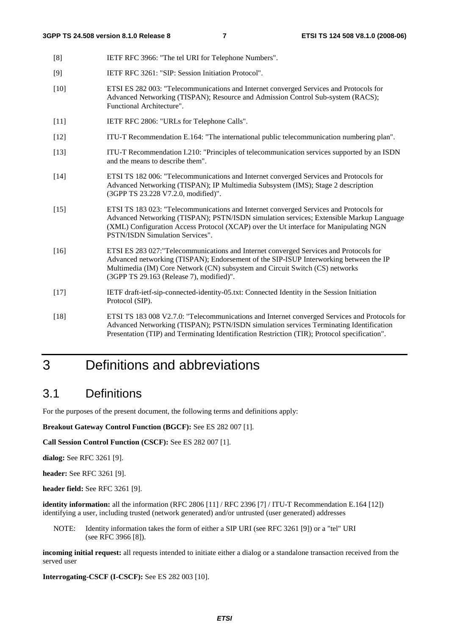- [8] IETF RFC 3966: "The tel URI for Telephone Numbers".
- [9] IETF RFC 3261: "SIP: Session Initiation Protocol".
- [10] ETSI ES 282 003: "Telecommunications and Internet converged Services and Protocols for Advanced Networking (TISPAN); Resource and Admission Control Sub-system (RACS); Functional Architecture".
- [11] **IETF RFC 2806: "URLs for Telephone Calls".**
- [12] ITU-T Recommendation E.164: "The international public telecommunication numbering plan".
- [13] ITU-T Recommendation I.210: "Principles of telecommunication services supported by an ISDN and the means to describe them".
- [14] ETSI TS 182 006: "Telecommunications and Internet converged Services and Protocols for Advanced Networking (TISPAN); IP Multimedia Subsystem (IMS); Stage 2 description (3GPP TS 23.228 V7.2.0, modified)".
- [15] ETSI TS 183 023: "Telecommunications and Internet converged Services and Protocols for Advanced Networking (TISPAN); PSTN/ISDN simulation services; Extensible Markup Language (XML) Configuration Access Protocol (XCAP) over the Ut interface for Manipulating NGN PSTN/ISDN Simulation Services".
- [16] ETSI ES 283 027:"Telecommunications and Internet converged Services and Protocols for Advanced networking (TISPAN); Endorsement of the SIP-ISUP Interworking between the IP Multimedia (IM) Core Network (CN) subsystem and Circuit Switch (CS) networks (3GPP TS 29.163 (Release 7), modified)".
- [17] IETF draft-ietf-sip-connected-identity-05.txt: Connected Identity in the Session Initiation Protocol (SIP).
- [18] ETSI TS 183 008 V2.7.0: "Telecommunications and Internet converged Services and Protocols for Advanced Networking (TISPAN); PSTN/ISDN simulation services Terminating Identification Presentation (TIP) and Terminating Identification Restriction (TIR); Protocol specification".

## 3 Definitions and abbreviations

### 3.1 Definitions

For the purposes of the present document, the following terms and definitions apply:

**Breakout Gateway Control Function (BGCF):** See ES 282 007 [1].

**Call Session Control Function (CSCF):** See ES 282 007 [1].

**dialog:** See RFC 3261 [9].

**header:** See RFC 3261 [9].

**header field:** See RFC 3261 [9].

**identity information:** all the information (RFC 2806 [11] / RFC 2396 [7] / ITU-T Recommendation E.164 [12]) identifying a user, including trusted (network generated) and/or untrusted (user generated) addresses

NOTE: Identity information takes the form of either a SIP URI (see RFC 3261 [9]) or a "tel" URI (see RFC 3966 [8]).

**incoming initial request:** all requests intended to initiate either a dialog or a standalone transaction received from the served user

**Interrogating-CSCF (I-CSCF):** See ES 282 003 [10].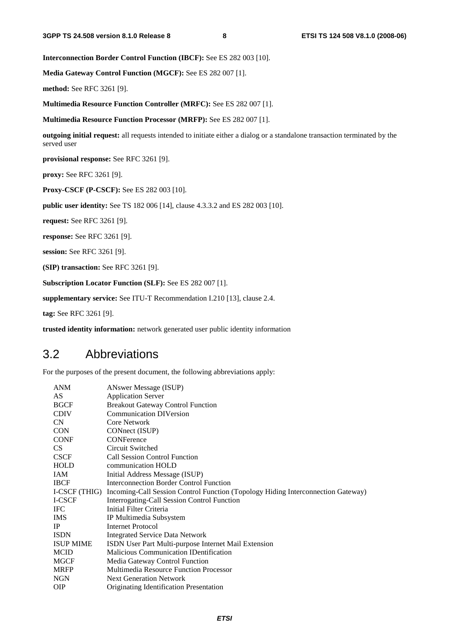**Interconnection Border Control Function (IBCF):** See ES 282 003 [10].

**Media Gateway Control Function (MGCF):** See ES 282 007 [1].

**method:** See RFC 3261 [9].

**Multimedia Resource Function Controller (MRFC):** See ES 282 007 [1].

**Multimedia Resource Function Processor (MRFP):** See ES 282 007 [1].

**outgoing initial request:** all requests intended to initiate either a dialog or a standalone transaction terminated by the served user

**provisional response:** See RFC 3261 [9].

**proxy:** See RFC 3261 [9].

**Proxy-CSCF (P-CSCF):** See ES 282 003 [10].

**public user identity:** See TS 182 006 [14], clause 4.3.3.2 and ES 282 003 [10].

**request:** See RFC 3261 [9].

**response:** See RFC 3261 [9].

**session:** See RFC 3261 [9].

**(SIP) transaction:** See RFC 3261 [9].

**Subscription Locator Function (SLF):** See ES 282 007 [1].

**supplementary service:** See ITU-T Recommendation I.210 [13], clause 2.4.

**tag:** See RFC 3261 [9].

**trusted identity information:** network generated user public identity information

### 3.2 Abbreviations

For the purposes of the present document, the following abbreviations apply:

| <b>ANM</b>       | ANswer Message (ISUP)                                                                          |
|------------------|------------------------------------------------------------------------------------------------|
| AS               | <b>Application Server</b>                                                                      |
| <b>BGCF</b>      | <b>Breakout Gateway Control Function</b>                                                       |
| <b>CDIV</b>      | <b>Communication DIVersion</b>                                                                 |
| <b>CN</b>        | <b>Core Network</b>                                                                            |
| <b>CON</b>       | CONnect (ISUP)                                                                                 |
| <b>CONF</b>      | <b>CONFerence</b>                                                                              |
| CS               | Circuit Switched                                                                               |
| <b>CSCF</b>      | <b>Call Session Control Function</b>                                                           |
| HOLD             | communication HOLD                                                                             |
| IAM              | Initial Address Message (ISUP)                                                                 |
| <b>IBCF</b>      | <b>Interconnection Border Control Function</b>                                                 |
|                  | I-CSCF (THIG) Incoming-Call Session Control Function (Topology Hiding Interconnection Gateway) |
| I-CSCF           | Interrogating-Call Session Control Function                                                    |
| <b>IFC</b>       | Initial Filter Criteria                                                                        |
| <b>IMS</b>       | IP Multimedia Subsystem                                                                        |
| IP               | Internet Protocol                                                                              |
| <b>ISDN</b>      | <b>Integrated Service Data Network</b>                                                         |
| <b>ISUP MIME</b> | ISDN User Part Multi-purpose Internet Mail Extension                                           |
| <b>MCID</b>      | <b>Malicious Communication IDentification</b>                                                  |
| <b>MGCF</b>      | Media Gateway Control Function                                                                 |
| <b>MRFP</b>      | <b>Multimedia Resource Function Processor</b>                                                  |
| <b>NGN</b>       | <b>Next Generation Network</b>                                                                 |
| <b>OIP</b>       | Originating Identification Presentation                                                        |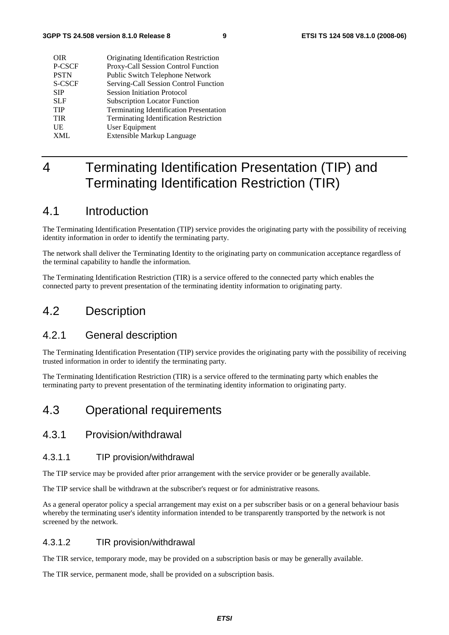| <b>OIR</b>  | Originating Identification Restriction         |
|-------------|------------------------------------------------|
| P-CSCF      | Proxy-Call Session Control Function            |
| <b>PSTN</b> | Public Switch Telephone Network                |
| S-CSCF      | Serving-Call Session Control Function          |
| <b>SIP</b>  | <b>Session Initiation Protocol</b>             |
| <b>SLF</b>  | <b>Subscription Locator Function</b>           |
| <b>TIP</b>  | <b>Terminating Identification Presentation</b> |
| <b>TIR</b>  | <b>Terminating Identification Restriction</b>  |
| UE          | User Equipment                                 |
| <b>XML</b>  | Extensible Markup Language                     |

## 4 Terminating Identification Presentation (TIP) and Terminating Identification Restriction (TIR)

### 4.1 Introduction

The Terminating Identification Presentation (TIP) service provides the originating party with the possibility of receiving identity information in order to identify the terminating party.

The network shall deliver the Terminating Identity to the originating party on communication acceptance regardless of the terminal capability to handle the information.

The Terminating Identification Restriction (TIR) is a service offered to the connected party which enables the connected party to prevent presentation of the terminating identity information to originating party.

### 4.2 Description

#### 4.2.1 General description

The Terminating Identification Presentation (TIP) service provides the originating party with the possibility of receiving trusted information in order to identify the terminating party.

The Terminating Identification Restriction (TIR) is a service offered to the terminating party which enables the terminating party to prevent presentation of the terminating identity information to originating party.

### 4.3 Operational requirements

#### 4.3.1 Provision/withdrawal

#### 4.3.1.1 TIP provision/withdrawal

The TIP service may be provided after prior arrangement with the service provider or be generally available.

The TIP service shall be withdrawn at the subscriber's request or for administrative reasons.

As a general operator policy a special arrangement may exist on a per subscriber basis or on a general behaviour basis whereby the terminating user's identity information intended to be transparently transported by the network is not screened by the network.

#### 4.3.1.2 TIR provision/withdrawal

The TIR service, temporary mode, may be provided on a subscription basis or may be generally available.

The TIR service, permanent mode, shall be provided on a subscription basis.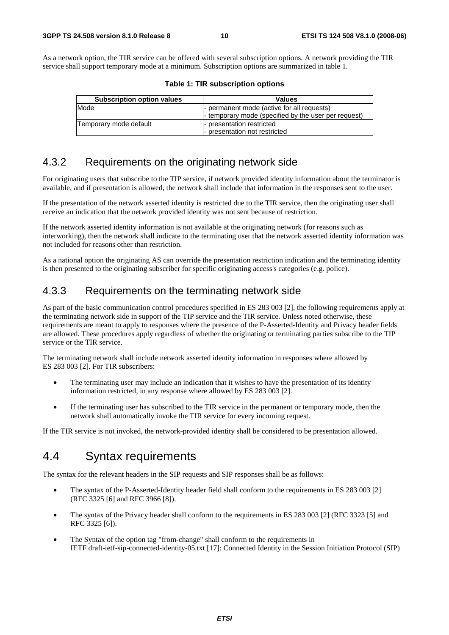As a network option, the TIR service can be offered with several subscription options. A network providing the TIR service shall support temporary mode at a minimum. Subscription options are summarized in table 1.

| <b>Subscription option values</b> | <b>Values</b>                                        |
|-----------------------------------|------------------------------------------------------|
| Mode                              | - permanent mode (active for all requests)           |
|                                   | - temporary mode (specified by the user per request) |
| Temporary mode default            | - presentation restricted                            |
|                                   | - presentation not restricted                        |

| Table 1: TIR subscription options |
|-----------------------------------|
|-----------------------------------|

### 4.3.2 Requirements on the originating network side

For originating users that subscribe to the TIP service, if network provided identity information about the terminator is available, and if presentation is allowed, the network shall include that information in the responses sent to the user.

If the presentation of the network asserted identity is restricted due to the TIR service, then the originating user shall receive an indication that the network provided identity was not sent because of restriction.

If the network asserted identity information is not available at the originating network (for reasons such as interworking), then the network shall indicate to the terminating user that the network asserted identity information was not included for reasons other than restriction.

As a national option the originating AS can override the presentation restriction indication and the terminating identity is then presented to the originating subscriber for specific originating access's categories (e.g. police).

#### 4.3.3 Requirements on the terminating network side

As part of the basic communication control procedures specified in ES 283 003 [2], the following requirements apply at the terminating network side in support of the TIP service and the TIR service. Unless noted otherwise, these requirements are meant to apply to responses where the presence of the P-Asserted-Identity and Privacy header fields are allowed. These procedures apply regardless of whether the originating or terminating parties subscribe to the TIP service or the TIR service.

The terminating network shall include network asserted identity information in responses where allowed by ES 283 003 [2]. For TIR subscribers:

- The terminating user may include an indication that it wishes to have the presentation of its identity information restricted, in any response where allowed by ES 283 003 [2].
- If the terminating user has subscribed to the TIR service in the permanent or temporary mode, then the network shall automatically invoke the TIR service for every incoming request.

If the TIR service is not invoked, the network-provided identity shall be considered to be presentation allowed.

### 4.4 Syntax requirements

The syntax for the relevant headers in the SIP requests and SIP responses shall be as follows:

- The syntax of the P-Asserted-Identity header field shall conform to the requirements in ES 283 003 [2] (RFC 3325 [6] and RFC 3966 [8]).
- The syntax of the Privacy header shall conform to the requirements in ES 283 003 [2] (RFC 3323 [5] and RFC 3325 [6]).
- The Syntax of the option tag "from-change" shall conform to the requirements in IETF draft-ietf-sip-connected-identity-05.txt [17]: Connected Identity in the Session Initiation Protocol (SIP)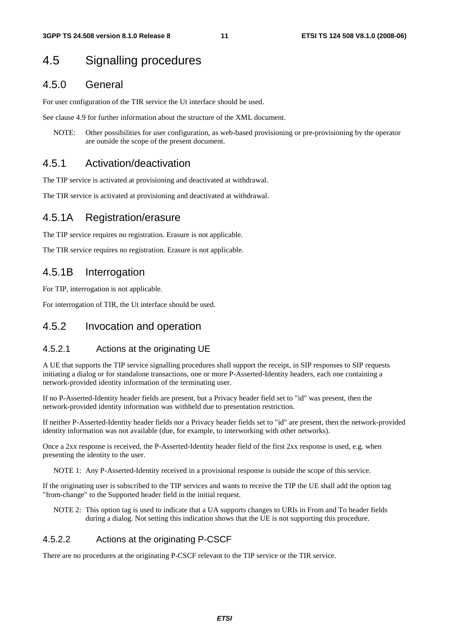### 4.5 Signalling procedures

#### 4.5.0 General

For user configuration of the TIR service the Ut interface should be used.

See clause 4.9 for further information about the structure of the XML document.

NOTE: Other possibilities for user configuration, as web-based provisioning or pre-provisioning by the operator are outside the scope of the present document.

#### 4.5.1 Activation/deactivation

The TIP service is activated at provisioning and deactivated at withdrawal.

The TIR service is activated at provisioning and deactivated at withdrawal.

#### 4.5.1A Registration/erasure

The TIP service requires no registration. Erasure is not applicable.

The TIR service requires no registration. Erasure is not applicable.

#### 4.5.1B Interrogation

For TIP, interrogation is not applicable.

For interrogation of TIR, the Ut interface should be used.

#### 4.5.2 Invocation and operation

#### 4.5.2.1 Actions at the originating UE

A UE that supports the TIP service signalling procedures shall support the receipt, in SIP responses to SIP requests initiating a dialog or for standalone transactions, one or more P-Asserted-Identity headers, each one containing a network-provided identity information of the terminating user.

If no P-Asserted-Identity header fields are present, but a Privacy header field set to "id" was present, then the network-provided identity information was withheld due to presentation restriction.

If neither P-Asserted-Identity header fields nor a Privacy header fields set to "id" are present, then the network-provided identity information was not available (due, for example, to interworking with other networks).

Once a 2xx response is received, the P-Asserted-Identity header field of the first 2xx response is used, e.g. when presenting the identity to the user.

NOTE 1: Any P-Asserted-Identity received in a provisional response is outside the scope of this service.

If the originating user is subscribed to the TIP services and wants to receive the TIP the UE shall add the option tag "from-change" to the Supported header field in the initial request.

NOTE 2: This option tag is used to indicate that a UA supports changes to URIs in From and To header fields during a dialog. Not setting this indication shows that the UE is not supporting this procedure.

#### 4.5.2.2 Actions at the originating P-CSCF

There are no procedures at the originating P-CSCF relevant to the TIP service or the TIR service.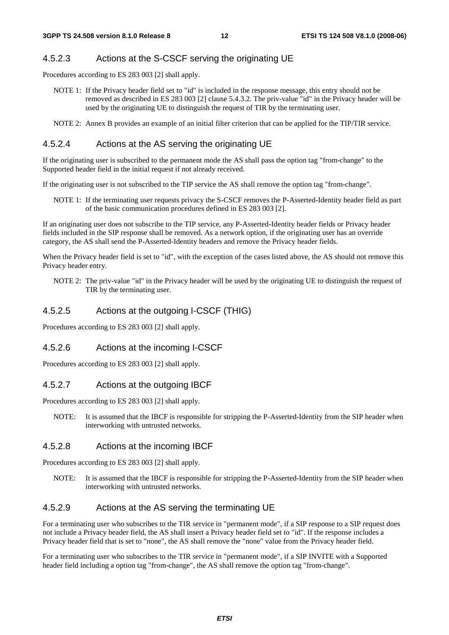#### 4.5.2.3 Actions at the S-CSCF serving the originating UE

Procedures according to ES 283 003 [2] shall apply.

- NOTE 1: If the Privacy header field set to "id" is included in the response message, this entry should not be removed as described in ES 283 003 [2] clause 5.4.3.2. The priv-value "id" in the Privacy header will be used by the originating UE to distinguish the request of TIR by the terminating user.
- NOTE 2: Annex B provides an example of an initial filter criterion that can be applied for the TIP/TIR service.

#### 4.5.2.4 Actions at the AS serving the originating UE

If the originating user is subscribed to the permanent mode the AS shall pass the option tag "from-change" to the Supported header field in the initial request if not already received.

If the originating user is not subscribed to the TIP service the AS shall remove the option tag "from-change".

NOTE 1: If the terminating user requests privacy the S-CSCF removes the P-Asserted-Identity header field as part of the basic communication procedures defined in ES 283 003 [2].

If an originating user does not subscribe to the TIP service, any P-Asserted-Identity header fields or Privacy header fields included in the SIP response shall be removed. As a network option, if the originating user has an override category, the AS shall send the P-Asserted-Identity headers and remove the Privacy header fields.

When the Privacy header field is set to "id", with the exception of the cases listed above, the AS should not remove this Privacy header entry.

NOTE 2: The priv-value "id" in the Privacy header will be used by the originating UE to distinguish the request of TIR by the terminating user.

#### 4.5.2.5 Actions at the outgoing I-CSCF (THIG)

Procedures according to ES 283 003 [2] shall apply.

#### 4.5.2.6 Actions at the incoming I-CSCF

Procedures according to ES 283 003 [2] shall apply.

#### 4.5.2.7 Actions at the outgoing IBCF

Procedures according to ES 283 003 [2] shall apply.

NOTE: It is assumed that the IBCF is responsible for stripping the P-Asserted-Identity from the SIP header when interworking with untrusted networks.

#### 4.5.2.8 Actions at the incoming IBCF

Procedures according to ES 283 003 [2] shall apply.

NOTE: It is assumed that the IBCF is responsible for stripping the P-Asserted-Identity from the SIP header when interworking with untrusted networks.

#### 4.5.2.9 Actions at the AS serving the terminating UE

For a terminating user who subscribes to the TIR service in "permanent mode", if a SIP response to a SIP request does not include a Privacy header field, the AS shall insert a Privacy header field set to "id". If the response includes a Privacy header field that is set to "none", the AS shall remove the "none" value from the Privacy header field.

For a terminating user who subscribes to the TIR service in "permanent mode", if a SIP INVITE with a Supported header field including a option tag "from-change", the AS shall remove the option tag "from-change".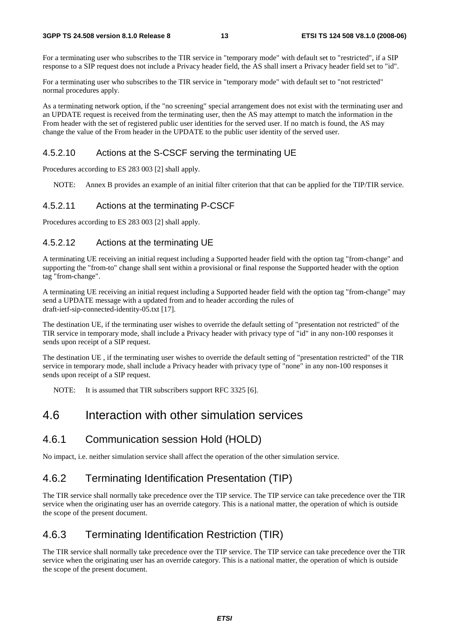For a terminating user who subscribes to the TIR service in "temporary mode" with default set to "restricted", if a SIP response to a SIP request does not include a Privacy header field, the AS shall insert a Privacy header field set to "id".

For a terminating user who subscribes to the TIR service in "temporary mode" with default set to "not restricted" normal procedures apply.

As a terminating network option, if the "no screening" special arrangement does not exist with the terminating user and an UPDATE request is received from the terminating user, then the AS may attempt to match the information in the From header with the set of registered public user identities for the served user. If no match is found, the AS may change the value of the From header in the UPDATE to the public user identity of the served user.

#### 4.5.2.10 Actions at the S-CSCF serving the terminating UE

Procedures according to ES 283 003 [2] shall apply.

NOTE: Annex B provides an example of an initial filter criterion that that can be applied for the TIP/TIR service.

#### 4.5.2.11 Actions at the terminating P-CSCF

Procedures according to ES 283 003 [2] shall apply.

#### 4.5.2.12 Actions at the terminating UE

A terminating UE receiving an initial request including a Supported header field with the option tag "from-change" and supporting the "from-to" change shall sent within a provisional or final response the Supported header with the option tag "from-change".

A terminating UE receiving an initial request including a Supported header field with the option tag "from-change" may send a UPDATE message with a updated from and to header according the rules of draft-ietf-sip-connected-identity-05.txt [17].

The destination UE, if the terminating user wishes to override the default setting of "presentation not restricted" of the TIR service in temporary mode, shall include a Privacy header with privacy type of "id" in any non-100 responses it sends upon receipt of a SIP request.

The destination UE , if the terminating user wishes to override the default setting of "presentation restricted" of the TIR service in temporary mode, shall include a Privacy header with privacy type of "none" in any non-100 responses it sends upon receipt of a SIP request.

NOTE: It is assumed that TIR subscribers support RFC 3325 [6].

### 4.6 Interaction with other simulation services

#### 4.6.1 Communication session Hold (HOLD)

No impact, i.e. neither simulation service shall affect the operation of the other simulation service.

### 4.6.2 Terminating Identification Presentation (TIP)

The TIR service shall normally take precedence over the TIP service. The TIP service can take precedence over the TIR service when the originating user has an override category. This is a national matter, the operation of which is outside the scope of the present document.

#### 4.6.3 Terminating Identification Restriction (TIR)

The TIR service shall normally take precedence over the TIP service. The TIP service can take precedence over the TIR service when the originating user has an override category. This is a national matter, the operation of which is outside the scope of the present document.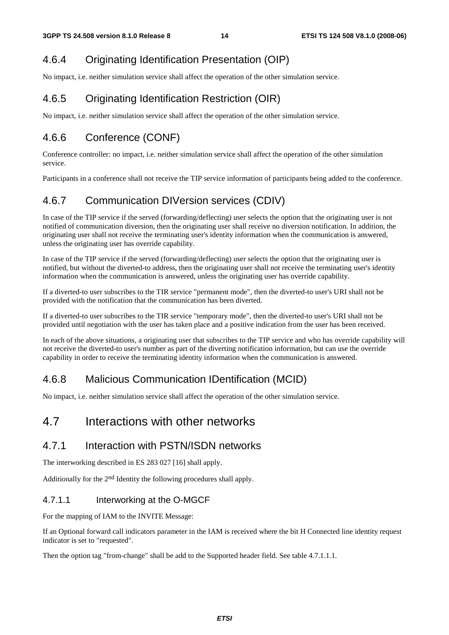### 4.6.4 Originating Identification Presentation (OIP)

No impact, i.e. neither simulation service shall affect the operation of the other simulation service.

### 4.6.5 Originating Identification Restriction (OIR)

No impact, i.e. neither simulation service shall affect the operation of the other simulation service.

### 4.6.6 Conference (CONF)

Conference controller: no impact, i.e. neither simulation service shall affect the operation of the other simulation service.

Participants in a conference shall not receive the TIP service information of participants being added to the conference.

### 4.6.7 Communication DIVersion services (CDIV)

In case of the TIP service if the served (forwarding/deflecting) user selects the option that the originating user is not notified of communication diversion, then the originating user shall receive no diversion notification. In addition, the originating user shall not receive the terminating user's identity information when the communication is answered, unless the originating user has override capability.

In case of the TIP service if the served (forwarding/deflecting) user selects the option that the originating user is notified, but without the diverted-to address, then the originating user shall not receive the terminating user's identity information when the communication is answered, unless the originating user has override capability.

If a diverted-to user subscribes to the TIR service "permanent mode", then the diverted-to user's URI shall not be provided with the notification that the communication has been diverted.

If a diverted-to user subscribes to the TIR service "temporary mode", then the diverted-to user's URI shall not be provided until negotiation with the user has taken place and a positive indication from the user has been received.

In each of the above situations, a originating user that subscribes to the TIP service and who has override capability will not receive the diverted-to user's number as part of the diverting notification information, but can use the override capability in order to receive the terminating identity information when the communication is answered.

### 4.6.8 Malicious Communication IDentification (MCID)

No impact, i.e. neither simulation service shall affect the operation of the other simulation service.

### 4.7 Interactions with other networks

### 4.7.1 Interaction with PSTN/ISDN networks

The interworking described in ES 283 027 [16] shall apply.

Additionally for the 2nd Identity the following procedures shall apply.

#### 4.7.1.1 Interworking at the O-MGCF

For the mapping of IAM to the INVITE Message:

If an Optional forward call indicators parameter in the IAM is received where the bit H Connected line identity request indicator is set to "requested".

Then the option tag "from-change" shall be add to the Supported header field. See table 4.7.1.1.1.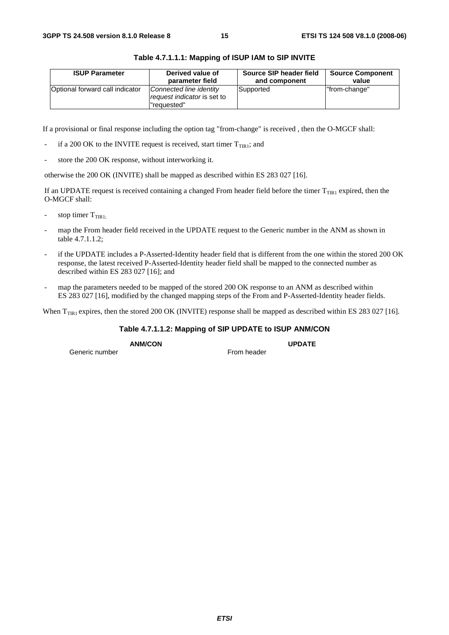| <b>ISUP Parameter</b>           | Derived value of                                                       | Source SIP header field | <b>Source Component</b> |
|---------------------------------|------------------------------------------------------------------------|-------------------------|-------------------------|
|                                 | parameter field                                                        | and component           | value                   |
| Optional forward call indicator | Connected line identity<br>request indicator is set to<br>l"reauested" | Supported               | "from-change"           |

#### **Table 4.7.1.1.1: Mapping of ISUP IAM to SIP INVITE**

If a provisional or final response including the option tag "from-change" is received , then the O-MGCF shall:

- if a 200 OK to the INVITE request is received, start timer  $T_{TIR1}$ ; and
- store the 200 OK response, without interworking it.

otherwise the 200 OK (INVITE) shall be mapped as described within ES 283 027 [16].

If an UPDATE request is received containing a changed From header field before the timer  $T<sub>TIR1</sub>$  expired, then the O-MGCF shall:

- stop timer  $T<sub>TIR1</sub>$
- map the From header field received in the UPDATE request to the Generic number in the ANM as shown in table 4.7.1.1.2;
- if the UPDATE includes a P-Asserted-Identity header field that is different from the one within the stored 200 OK response, the latest received P-Asserted-Identity header field shall be mapped to the connected number as described within ES 283 027 [16]; and
- map the parameters needed to be mapped of the stored 200 OK response to an ANM as described within ES 283 027 [16], modified by the changed mapping steps of the From and P-Asserted-Identity header fields.

When  $T<sub>TIR1</sub>$  expires, then the stored 200 OK (INVITE) response shall be mapped as described within ES 283 027 [16].

#### **Table 4.7.1.1.2: Mapping of SIP UPDATE to ISUP ANM/CON**

Generic number

**ANM/CON UPDATE** 

*ETSI*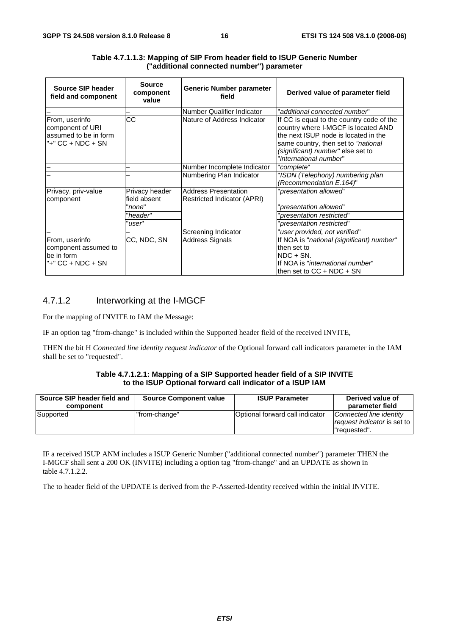| Source SIP header<br>field and component                                         | <b>Source</b><br>component<br>value | <b>Generic Number parameter</b><br>field                   | Derived value of parameter field                                                                                                                                                                                               |
|----------------------------------------------------------------------------------|-------------------------------------|------------------------------------------------------------|--------------------------------------------------------------------------------------------------------------------------------------------------------------------------------------------------------------------------------|
|                                                                                  |                                     | Number Qualifier Indicator                                 | "additional connected number"                                                                                                                                                                                                  |
| From, userinfo<br>component of URI<br>assumed to be in form<br>"+" CC + NDC + SN | CC                                  | Nature of Address Indicator                                | If CC is equal to the country code of the<br>country where I-MGCF is located AND<br>the next ISUP node is located in the<br>same country, then set to "national<br>(significant) number" else set to<br>"international number" |
|                                                                                  |                                     | Number Incomplete Indicator                                | "complete"                                                                                                                                                                                                                     |
|                                                                                  |                                     | Numbering Plan Indicator                                   | "ISDN (Telephony) numbering plan<br>(Recommendation E.164)"                                                                                                                                                                    |
| Privacy, priv-value<br>component                                                 | Privacy header<br>field absent      | <b>Address Presentation</b><br>Restricted Indicator (APRI) | 'presentation allowed"                                                                                                                                                                                                         |
|                                                                                  | 'none"                              |                                                            | presentation allowed"                                                                                                                                                                                                          |
|                                                                                  | "header"                            |                                                            | presentation restricted"                                                                                                                                                                                                       |
|                                                                                  | 'user"                              |                                                            | 'presentation restricted"                                                                                                                                                                                                      |
|                                                                                  |                                     | Screening Indicator                                        | "user provided, not verified"                                                                                                                                                                                                  |
| From, userinfo<br>component assumed to<br>be in form<br>"+" CC + NDC + SN        | CC, NDC, SN                         | Address Signals                                            | If NOA is "national (significant) number"<br>then set to<br>INDC + SN.<br>If NOA is "international number"<br>Ithen set to $CC + NDC + SN$                                                                                     |

#### **Table 4.7.1.1.3: Mapping of SIP From header field to ISUP Generic Number ("additional connected number") parameter**

#### 4.7.1.2 Interworking at the I-MGCF

For the mapping of INVITE to IAM the Message:

IF an option tag "from-change" is included within the Supported header field of the received INVITE,

THEN the bit H *Connected line identity request indicator* of the Optional forward call indicators parameter in the IAM shall be set to "requested".

#### **Table 4.7.1.2.1: Mapping of a SIP Supported header field of a SIP INVITE to the ISUP Optional forward call indicator of a ISUP IAM**

| Source SIP header field and<br>component | <b>Source Component value</b> | <b>ISUP Parameter</b>           | Derived value of<br>parameter field                                    |
|------------------------------------------|-------------------------------|---------------------------------|------------------------------------------------------------------------|
| Supported                                | "from-change"                 | Optional forward call indicator | Connected line identity<br>request indicator is set to<br>l"reauested" |

IF a received ISUP ANM includes a ISUP Generic Number ("additional connected number") parameter THEN the I-MGCF shall sent a 200 OK (INVITE) including a option tag "from-change" and an UPDATE as shown in table 4.7.1.2.2.

The to header field of the UPDATE is derived from the P-Asserted-Identity received within the initial INVITE.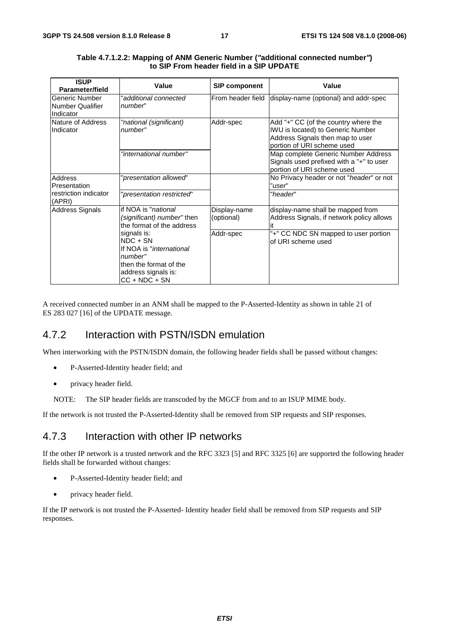| <b>ISUP</b><br>Parameter/field                         | Value                                                                                                                                 | <b>SIP component</b>       | Value                                                                                                                                              |
|--------------------------------------------------------|---------------------------------------------------------------------------------------------------------------------------------------|----------------------------|----------------------------------------------------------------------------------------------------------------------------------------------------|
| Generic Number<br><b>Number Qualifier</b><br>Indicator | "additional connected<br>number"                                                                                                      | From header field          | display-name (optional) and addr-spec                                                                                                              |
| Nature of Address<br>Indicator                         | "national (significant)<br>number"                                                                                                    | Addr-spec                  | Add "+" CC (of the country where the<br><b>IWU</b> is located) to Generic Number<br>Address Signals then map to user<br>portion of URI scheme used |
|                                                        | "international number"                                                                                                                |                            | Map complete Generic Number Address<br>Signals used prefixed with a "+" to user<br>portion of URI scheme used                                      |
| Address<br>Presentation                                | "presentation allowed"                                                                                                                |                            | No Privacy header or not "header" or not<br>"user"                                                                                                 |
| restriction indicator<br>(APRI)                        | "presentation restricted"                                                                                                             |                            | "header"                                                                                                                                           |
| <b>Address Signals</b>                                 | if NOA is " <i>national</i><br>(significant) number" then<br>the format of the address                                                | Display-name<br>(optional) | display-name shall be mapped from<br>Address Signals, if network policy allows                                                                     |
|                                                        | signals is:<br>$NDC + SN$<br>If NOA is "international"<br>number"<br>then the format of the<br>address signals is:<br>$CC + NDC + SN$ | Addr-spec                  | "+" CC NDC SN mapped to user portion<br>of URI scheme used                                                                                         |

| Table 4.7.1.2.2: Mapping of ANM Generic Number ("additional connected number") |  |
|--------------------------------------------------------------------------------|--|
| to SIP From header field in a SIP UPDATE                                       |  |

A received connected number in an ANM shall be mapped to the P-Asserted-Identity as shown in table 21 of ES 283 027 [16] of the UPDATE message.

#### 4.7.2 Interaction with PSTN/ISDN emulation

When interworking with the PSTN/ISDN domain, the following header fields shall be passed without changes:

- P-Asserted-Identity header field; and
- privacy header field.
- NOTE: The SIP header fields are transcoded by the MGCF from and to an ISUP MIME body.

If the network is not trusted the P-Asserted-Identity shall be removed from SIP requests and SIP responses.

### 4.7.3 Interaction with other IP networks

If the other IP network is a trusted network and the RFC 3323 [5] and RFC 3325 [6] are supported the following header fields shall be forwarded without changes:

- P-Asserted-Identity header field; and
- privacy header field.

If the IP network is not trusted the P-Asserted- Identity header field shall be removed from SIP requests and SIP responses.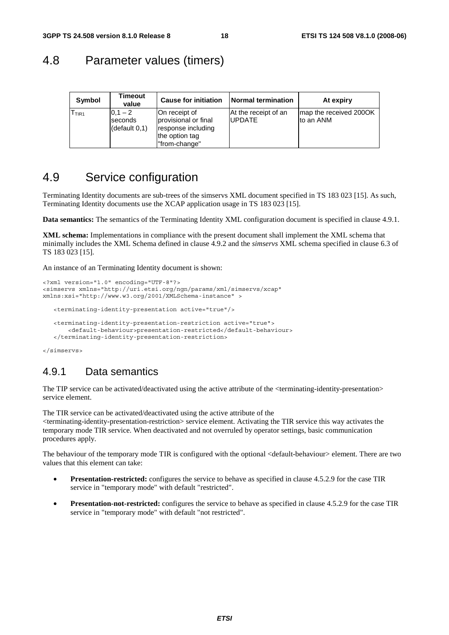### 4.8 Parameter values (timers)

| Symbol            | Timeout<br>value                      | <b>Cause for initiation</b>                                                                    | <b>Normal termination</b>              | At expiry                           |
|-------------------|---------------------------------------|------------------------------------------------------------------------------------------------|----------------------------------------|-------------------------------------|
| I <sub>TIR1</sub> | $0.1 - 2$<br>seconds<br>(detault 0,1) | On receipt of<br>provisional or final<br>response including<br>the option tag<br>"from-change" | At the receipt of an<br><b>IUPDATE</b> | map the received 2000K<br>to an ANM |

### 4.9 Service configuration

Terminating Identity documents are sub-trees of the simservs XML document specified in TS 183 023 [15]. As such, Terminating Identity documents use the XCAP application usage in TS 183 023 [15].

**Data semantics:** The semantics of the Terminating Identity XML configuration document is specified in clause 4.9.1.

**XML schema:** Implementations in compliance with the present document shall implement the XML schema that minimally includes the XML Schema defined in clause 4.9.2 and the *simservs* XML schema specified in clause 6.3 of TS 183 023 [15].

An instance of an Terminating Identity document is shown:

```
<?xml version="1.0" encoding="UTF-8"?> 
<simservs xmlns="http://uri.etsi.org/ngn/params/xml/simservs/xcap" 
xmlns:xsi="http://www.w3.org/2001/XMLSchema-instance" > 
    <terminating-identity-presentation active="true"/> 
    <terminating-identity-presentation-restriction active="true"> 
        <default-behaviour>presentation-restricted</default-behaviour> 
    </terminating-identity-presentation-restriction>
```
</simservs>

#### 4.9.1 Data semantics

The TIP service can be activated/deactivated using the active attribute of the <terminating-identity-presentation> service element.

The TIR service can be activated/deactivated using the active attribute of the <terminating-identity-presentation-restriction> service element. Activating the TIR service this way activates the temporary mode TIR service. When deactivated and not overruled by operator settings, basic communication procedures apply.

The behaviour of the temporary mode TIR is configured with the optional <default-behaviour> element. There are two values that this element can take:

- **Presentation-restricted:** configures the service to behave as specified in clause 4.5.2.9 for the case TIR service in "temporary mode" with default "restricted".
- **Presentation-not-restricted:** configures the service to behave as specified in clause 4.5.2.9 for the case TIR service in "temporary mode" with default "not restricted".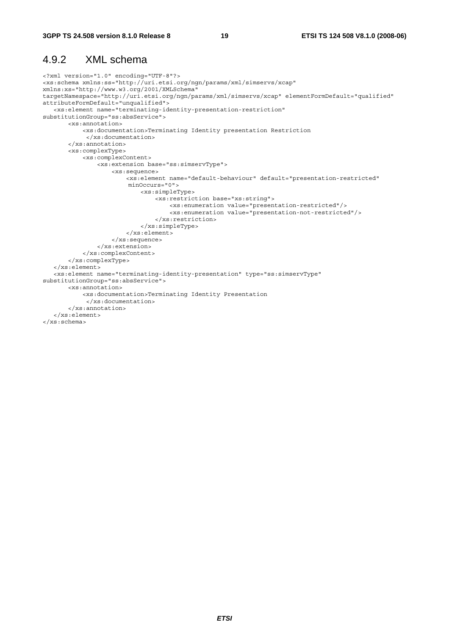### 4.9.2 XML schema

```
<?xml version="1.0" encoding="UTF-8"?> 
<xs:schema xmlns:ss="http://uri.etsi.org/ngn/params/xml/simservs/xcap" 
xmlns:xs="http://www.w3.org/2001/XMLSchema" 
targetNamespace="http://uri.etsi.org/ngn/params/xml/simservs/xcap" elementFormDefault="qualified" 
attributeFormDefault="unqualified"> 
    <xs:element name="terminating-identity-presentation-restriction" 
substitutionGroup="ss:absService"> 
        <xs:annotation> 
            <xs:documentation>Terminating Identity presentation Restriction 
             </xs:documentation> 
        </xs:annotation> 
        <xs:complexType> 
            <xs:complexContent> 
                 <xs:extension base="ss:simservType"> 
                     <xs:sequence> 
                         <xs:element name="default-behaviour" default="presentation-restricted" 
                         minOccurs="0"> 
                             <xs:simpleType> 
                                  <xs:restriction base="xs:string"> 
                                      <xs:enumeration value="presentation-restricted"/> 
                                      <xs:enumeration value="presentation-not-restricted"/> 
                                  </xs:restriction> 
                             </xs:simpleType> 
                         </xs:element> 
                     </xs:sequence> 
                </xs:extension> 
            </xs:complexContent> 
        </xs:complexType> 
    </xs:element> 
    <xs:element name="terminating-identity-presentation" type="ss:simservType" 
substitutionGroup="ss:absService"> 
        <xs:annotation> 
            <xs:documentation>Terminating Identity Presentation 
             </xs:documentation> 
        </xs:annotation> 
    </xs:element> 
</xs:schema>
```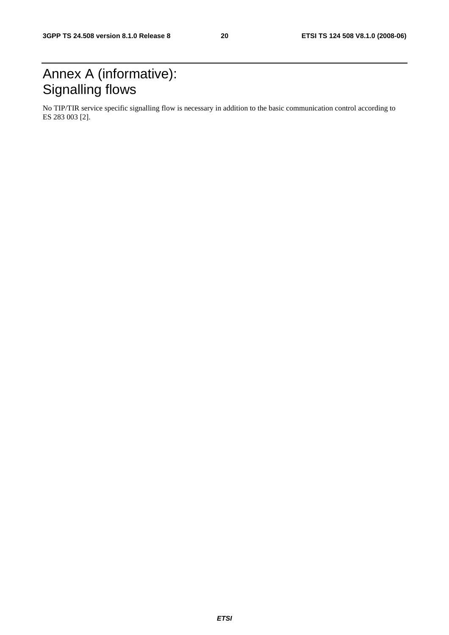## Annex A (informative): Signalling flows

No TIP/TIR service specific signalling flow is necessary in addition to the basic communication control according to ES 283 003 [2].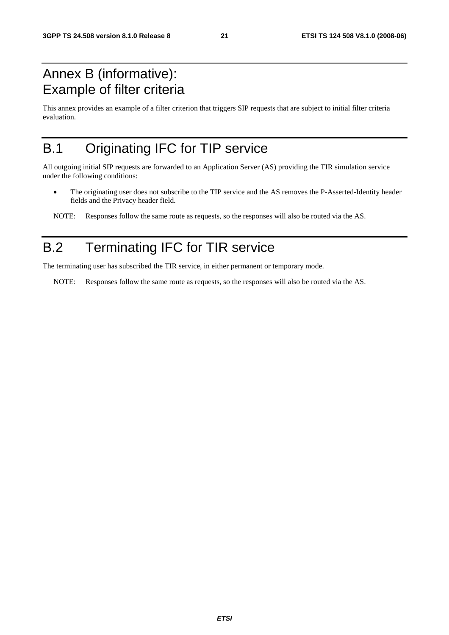## Annex B (informative): Example of filter criteria

This annex provides an example of a filter criterion that triggers SIP requests that are subject to initial filter criteria evaluation.

## B.1 Originating IFC for TIP service

All outgoing initial SIP requests are forwarded to an Application Server (AS) providing the TIR simulation service under the following conditions:

• The originating user does not subscribe to the TIP service and the AS removes the P-Asserted-Identity header fields and the Privacy header field.

NOTE: Responses follow the same route as requests, so the responses will also be routed via the AS.

## B.2 Terminating IFC for TIR service

The terminating user has subscribed the TIR service, in either permanent or temporary mode.

NOTE: Responses follow the same route as requests, so the responses will also be routed via the AS.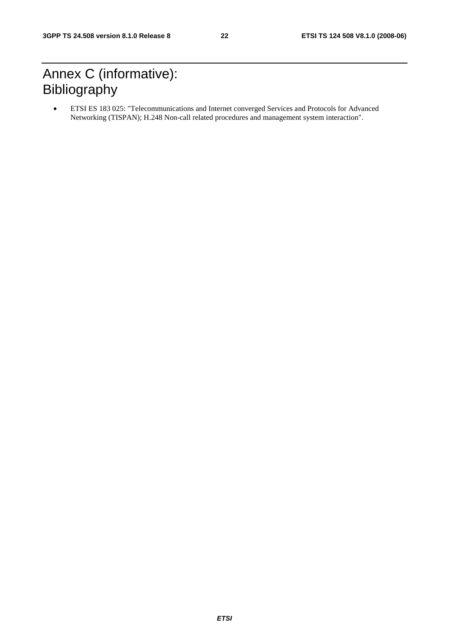## Annex C (informative): Bibliography

• ETSI ES 183 025: "Telecommunications and Internet converged Services and Protocols for Advanced Networking (TISPAN); H.248 Non-call related procedures and management system interaction".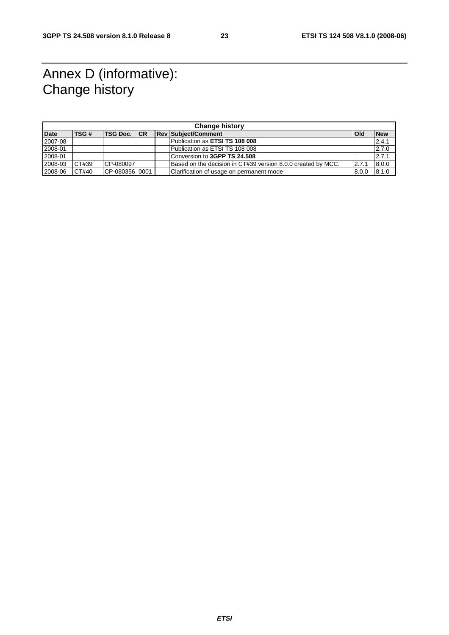## Annex D (informative): Change history

| <b>Change history</b> |       |                      |  |  |                                                              |            |            |  |
|-----------------------|-------|----------------------|--|--|--------------------------------------------------------------|------------|------------|--|
| <b>Date</b>           | TSG#  | <b>ITSG Doc. ICR</b> |  |  | <b>Rev Subject/Comment</b>                                   | <b>Old</b> | <b>New</b> |  |
| 2007-08               |       |                      |  |  | Publication as ETSI TS 108 008                               |            | 2.4.1      |  |
| 2008-01               |       |                      |  |  | Publication as ETSI TS 108 008                               |            | 2.7.0      |  |
| 2008-01               |       |                      |  |  | Conversion to 3GPP TS 24.508                                 |            | 2.7.1      |  |
| 2008-03               | CT#39 | $CP-080097$          |  |  | Based on the decision in CT#39 version 8.0.0 created by MCC. | 2.7.1      | 8.0.0      |  |
| 2008-06               | CT#40 | CP-08035610001       |  |  | Clarification of usage on permanent mode                     | 8.0.0      | 8.1.0      |  |